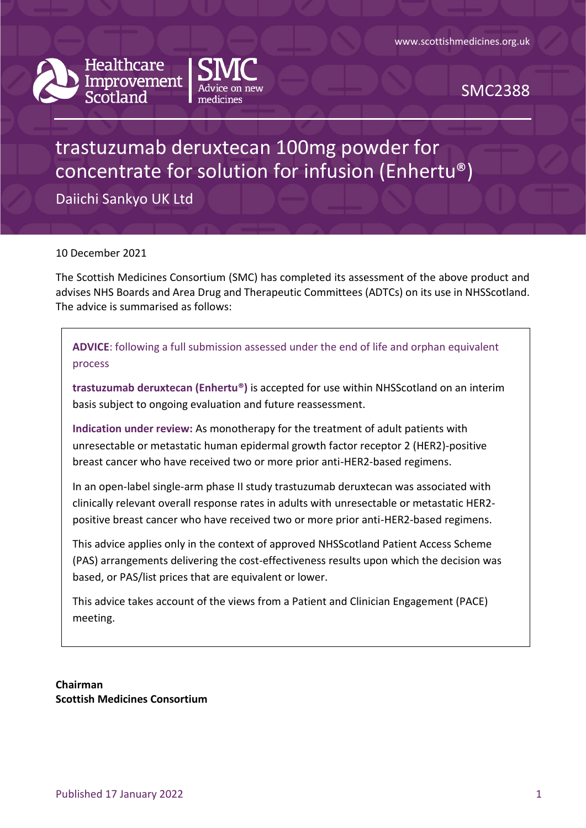



SMC2388

# trastuzumab deruxtecan 100mg powder for concentrate for solution for infusion (Enhertu®)

Daiichi Sankyo UK Ltd

10 December 2021

The Scottish Medicines Consortium (SMC) has completed its assessment of the above product and advises NHS Boards and Area Drug and Therapeutic Committees (ADTCs) on its use in NHSScotland. The advice is summarised as follows:

**ADVICE**: following a full submission assessed under the end of life and orphan equivalent process

**trastuzumab deruxtecan (Enhertu®)** is accepted for use within NHSScotland on an interim basis subject to ongoing evaluation and future reassessment.

**Indication under review:** As monotherapy for the treatment of adult patients with unresectable or metastatic human epidermal growth factor receptor 2 (HER2)-positive breast cancer who have received two or more prior anti-HER2-based regimens.

In an open-label single-arm phase II study trastuzumab deruxtecan was associated with clinically relevant overall response rates in adults with unresectable or metastatic HER2 positive breast cancer who have received two or more prior anti-HER2-based regimens.

This advice applies only in the context of approved NHSScotland Patient Access Scheme (PAS) arrangements delivering the cost-effectiveness results upon which the decision was based, or PAS/list prices that are equivalent or lower.

This advice takes account of the views from a Patient and Clinician Engagement (PACE) meeting.

**Chairman Scottish Medicines Consortium**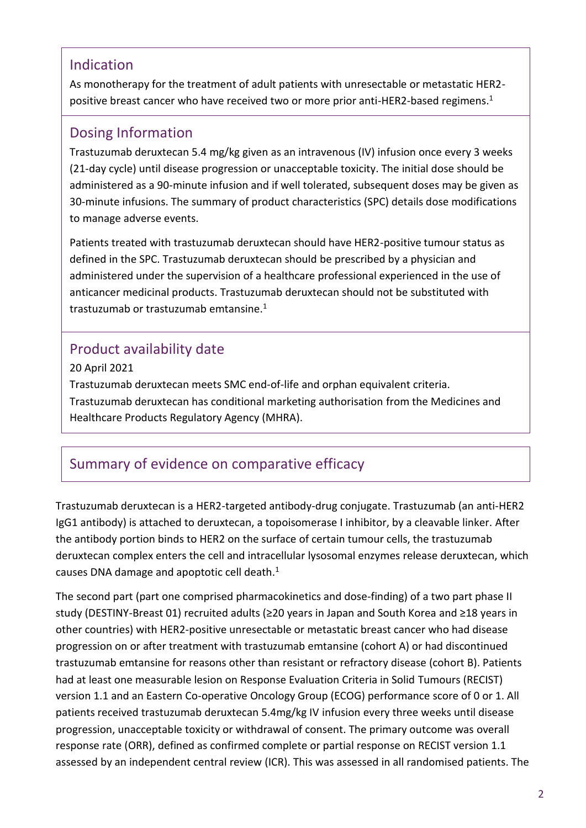### Indication

As monotherapy for the treatment of adult patients with unresectable or metastatic HER2 positive breast cancer who have received two or more prior anti-HER2-based regimens. 1

### Dosing Information

Trastuzumab deruxtecan 5.4 mg/kg given as an intravenous (IV) infusion once every 3 weeks (21-day cycle) until disease progression or unacceptable toxicity. The initial dose should be administered as a 90-minute infusion and if well tolerated, subsequent doses may be given as 30-minute infusions. The summary of product characteristics (SPC) details dose modifications to manage adverse events.

Patients treated with trastuzumab deruxtecan should have HER2-positive tumour status as defined in the SPC. Trastuzumab deruxtecan should be prescribed by a physician and administered under the supervision of a healthcare professional experienced in the use of anticancer medicinal products. Trastuzumab deruxtecan should not be substituted with trastuzumab or trastuzumab emtansine.<sup>1</sup>

# Product availability date

20 April 2021 Trastuzumab deruxtecan meets SMC end-of-life and orphan equivalent criteria. Trastuzumab deruxtecan has conditional marketing authorisation from the Medicines and Healthcare Products Regulatory Agency (MHRA).

# Summary of evidence on comparative efficacy

Trastuzumab deruxtecan is a HER2-targeted antibody-drug conjugate. Trastuzumab (an anti-HER2 IgG1 antibody) is attached to deruxtecan, a topoisomerase I inhibitor, by a cleavable linker. After the antibody portion binds to HER2 on the surface of certain tumour cells, the trastuzumab deruxtecan complex enters the cell and intracellular lysosomal enzymes release deruxtecan, which causes DNA damage and apoptotic cell death.<sup>1</sup>

The second part (part one comprised pharmacokinetics and dose-finding) of a two part phase II study (DESTINY-Breast 01) recruited adults (≥20 years in Japan and South Korea and ≥18 years in other countries) with HER2-positive unresectable or metastatic breast cancer who had disease progression on or after treatment with trastuzumab emtansine (cohort A) or had discontinued trastuzumab emtansine for reasons other than resistant or refractory disease (cohort B). Patients had at least one measurable lesion on Response Evaluation Criteria in Solid Tumours (RECIST) version 1.1 and an Eastern Co-operative Oncology Group (ECOG) performance score of 0 or 1. All patients received trastuzumab deruxtecan 5.4mg/kg IV infusion every three weeks until disease progression, unacceptable toxicity or withdrawal of consent. The primary outcome was overall response rate (ORR), defined as confirmed complete or partial response on RECIST version 1.1 assessed by an independent central review (ICR). This was assessed in all randomised patients. The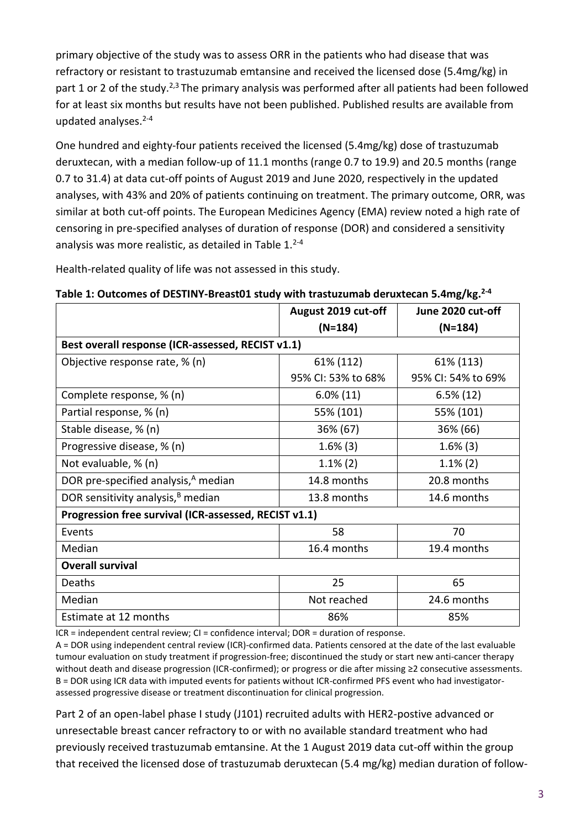primary objective of the study was to assess ORR in the patients who had disease that was refractory or resistant to trastuzumab emtansine and received the licensed dose (5.4mg/kg) in part 1 or 2 of the study.<sup>2,3</sup> The primary analysis was performed after all patients had been followed for at least six months but results have not been published. Published results are available from updated analyses. $2-4$ 

One hundred and eighty-four patients received the licensed (5.4mg/kg) dose of trastuzumab deruxtecan, with a median follow-up of 11.1 months (range 0.7 to 19.9) and 20.5 months (range 0.7 to 31.4) at data cut-off points of August 2019 and June 2020, respectively in the updated analyses, with 43% and 20% of patients continuing on treatment. The primary outcome, ORR, was similar at both cut-off points. The European Medicines Agency (EMA) review noted a high rate of censoring in pre-specified analyses of duration of response (DOR) and considered a sensitivity analysis was more realistic, as detailed in Table  $1.^{2-4}$ 

Health-related quality of life was not assessed in this study.

| Table 1: Outcomes of DESTINY-Breast01 study with trastuzumab deruxtecan 5.4mg/kg. <sup>2-4</sup> |  |  |
|--------------------------------------------------------------------------------------------------|--|--|
|--------------------------------------------------------------------------------------------------|--|--|

|                                                       | August 2019 cut-off                               | June 2020 cut-off  |  |  |  |  |
|-------------------------------------------------------|---------------------------------------------------|--------------------|--|--|--|--|
|                                                       | $(N=184)$                                         | $(N=184)$          |  |  |  |  |
|                                                       | Best overall response (ICR-assessed, RECIST v1.1) |                    |  |  |  |  |
| Objective response rate, % (n)                        | 61% (112)                                         | 61% (113)          |  |  |  |  |
|                                                       | 95% CI: 53% to 68%                                | 95% CI: 54% to 69% |  |  |  |  |
| Complete response, % (n)                              | $6.0\%$ (11)                                      | $6.5\%$ (12)       |  |  |  |  |
| Partial response, % (n)                               | 55% (101)                                         | 55% (101)          |  |  |  |  |
| Stable disease, % (n)                                 | 36% (67)                                          | 36% (66)           |  |  |  |  |
| Progressive disease, % (n)                            | $1.6\%$ (3)                                       | $1.6\%$ (3)        |  |  |  |  |
| Not evaluable, % (n)                                  | $1.1\%$ (2)                                       | $1.1\%$ (2)        |  |  |  |  |
| DOR pre-specified analysis, <sup>A</sup> median       | 14.8 months                                       | 20.8 months        |  |  |  |  |
| DOR sensitivity analysis, <sup>B</sup> median         | 13.8 months                                       | 14.6 months        |  |  |  |  |
| Progression free survival (ICR-assessed, RECIST v1.1) |                                                   |                    |  |  |  |  |
| Events                                                | 58                                                | 70                 |  |  |  |  |
| Median                                                | 16.4 months                                       | 19.4 months        |  |  |  |  |
| <b>Overall survival</b>                               |                                                   |                    |  |  |  |  |
| Deaths                                                | 25                                                | 65                 |  |  |  |  |
| Median                                                | Not reached                                       | 24.6 months        |  |  |  |  |
| Estimate at 12 months                                 | 86%                                               | 85%                |  |  |  |  |

ICR = independent central review; CI = confidence interval; DOR = duration of response.

A = DOR using independent central review (ICR)-confirmed data. Patients censored at the date of the last evaluable tumour evaluation on study treatment if progression-free; discontinued the study or start new anti-cancer therapy without death and disease progression (ICR-confirmed); or progress or die after missing ≥2 consecutive assessments. B = DOR using ICR data with imputed events for patients without ICR-confirmed PFS event who had investigatorassessed progressive disease or treatment discontinuation for clinical progression.

Part 2 of an open-label phase I study (J101) recruited adults with HER2-postive advanced or unresectable breast cancer refractory to or with no available standard treatment who had previously received trastuzumab emtansine. At the 1 August 2019 data cut-off within the group that received the licensed dose of trastuzumab deruxtecan (5.4 mg/kg) median duration of follow-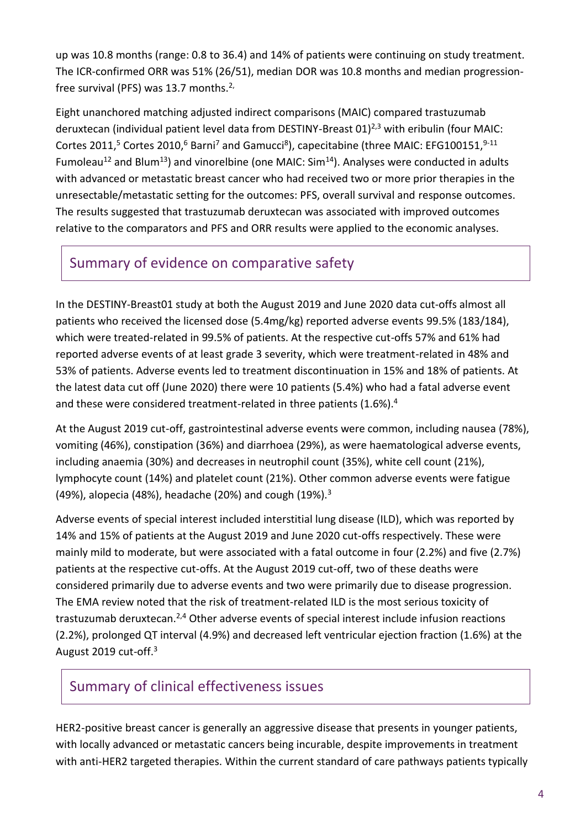up was 10.8 months (range: 0.8 to 36.4) and 14% of patients were continuing on study treatment. The ICR-confirmed ORR was 51% (26/51), median DOR was 10.8 months and median progressionfree survival (PFS) was 13.7 months.<sup>2,</sup>

Eight unanchored matching adjusted indirect comparisons (MAIC) compared trastuzumab deruxtecan (individual patient level data from DESTINY-Breast 01)<sup>2,3</sup> with eribulin (four MAIC: Cortes 2011,<sup>5</sup> Cortes 2010,<sup>6</sup> Barni<sup>7</sup> and Gamucci<sup>8</sup>), capecitabine (three MAIC: EFG100151,<sup>9-11</sup> Fumoleau<sup>12</sup> and Blum<sup>13</sup>) and vinorelbine (one MAIC: Sim<sup>14</sup>). Analyses were conducted in adults with advanced or metastatic breast cancer who had received two or more prior therapies in the unresectable/metastatic setting for the outcomes: PFS, overall survival and response outcomes. The results suggested that trastuzumab deruxtecan was associated with improved outcomes relative to the comparators and PFS and ORR results were applied to the economic analyses.

### Summary of evidence on comparative safety

In the DESTINY-Breast01 study at both the August 2019 and June 2020 data cut-offs almost all patients who received the licensed dose (5.4mg/kg) reported adverse events 99.5% (183/184), which were treated-related in 99.5% of patients. At the respective cut-offs 57% and 61% had reported adverse events of at least grade 3 severity, which were treatment-related in 48% and 53% of patients. Adverse events led to treatment discontinuation in 15% and 18% of patients. At the latest data cut off (June 2020) there were 10 patients (5.4%) who had a fatal adverse event and these were considered treatment-related in three patients (1.6%).<sup>4</sup>

At the August 2019 cut-off, gastrointestinal adverse events were common, including nausea (78%), vomiting (46%), constipation (36%) and diarrhoea (29%), as were haematological adverse events, including anaemia (30%) and decreases in neutrophil count (35%), white cell count (21%), lymphocyte count (14%) and platelet count (21%). Other common adverse events were fatigue (49%), alopecia (48%), headache (20%) and cough (19%).<sup>3</sup>

Adverse events of special interest included interstitial lung disease (ILD), which was reported by 14% and 15% of patients at the August 2019 and June 2020 cut-offs respectively. These were mainly mild to moderate, but were associated with a fatal outcome in four (2.2%) and five (2.7%) patients at the respective cut-offs. At the August 2019 cut-off, two of these deaths were considered primarily due to adverse events and two were primarily due to disease progression. The EMA review noted that the risk of treatment-related ILD is the most serious toxicity of trastuzumab deruxtecan.2,4 Other adverse events of special interest include infusion reactions (2.2%), prolonged QT interval (4.9%) and decreased left ventricular ejection fraction (1.6%) at the August 2019 cut-off.<sup>3</sup>

### Summary of clinical effectiveness issues

HER2-positive breast cancer is generally an aggressive disease that presents in younger patients, with locally advanced or metastatic cancers being incurable, despite improvements in treatment with anti-HER2 targeted therapies. Within the current standard of care pathways patients typically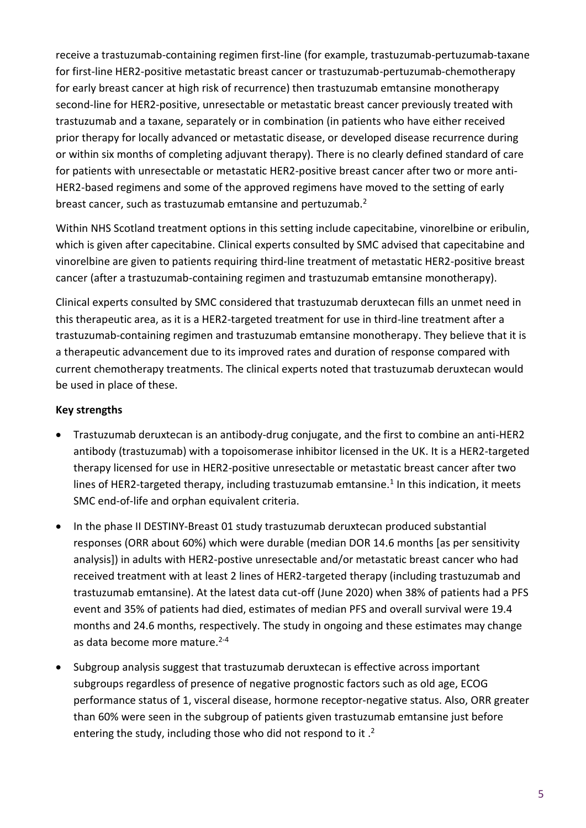receive a trastuzumab-containing regimen first-line (for example, trastuzumab-pertuzumab-taxane for first-line HER2-positive metastatic breast cancer or trastuzumab-pertuzumab-chemotherapy for early breast cancer at high risk of recurrence) then trastuzumab emtansine monotherapy second-line for HER2-positive, unresectable or metastatic breast cancer previously treated with trastuzumab and a taxane, separately or in combination (in patients who have either received prior therapy for locally advanced or metastatic disease, or developed disease recurrence during or within six months of completing adjuvant therapy). There is no clearly defined standard of care for patients with unresectable or metastatic HER2-positive breast cancer after two or more anti-HER2-based regimens and some of the approved regimens have moved to the setting of early breast cancer, such as trastuzumab emtansine and pertuzumab.<sup>2</sup>

Within NHS Scotland treatment options in this setting include capecitabine, vinorelbine or eribulin, which is given after capecitabine. Clinical experts consulted by SMC advised that capecitabine and vinorelbine are given to patients requiring third-line treatment of metastatic HER2-positive breast cancer (after a trastuzumab-containing regimen and trastuzumab emtansine monotherapy).

Clinical experts consulted by SMC considered that trastuzumab deruxtecan fills an unmet need in this therapeutic area, as it is a HER2-targeted treatment for use in third-line treatment after a trastuzumab-containing regimen and trastuzumab emtansine monotherapy. They believe that it is a therapeutic advancement due to its improved rates and duration of response compared with current chemotherapy treatments. The clinical experts noted that trastuzumab deruxtecan would be used in place of these.

#### **Key strengths**

- Trastuzumab deruxtecan is an antibody-drug conjugate, and the first to combine an anti-HER2 antibody (trastuzumab) with a topoisomerase inhibitor licensed in the UK. It is a HER2-targeted therapy licensed for use in HER2-positive unresectable or metastatic breast cancer after two lines of HER2-targeted therapy, including trastuzumab emtansine.<sup>1</sup> In this indication, it meets SMC end-of-life and orphan equivalent criteria.
- In the phase II DESTINY-Breast 01 study trastuzumab deruxtecan produced substantial responses (ORR about 60%) which were durable (median DOR 14.6 months [as per sensitivity analysis]) in adults with HER2-postive unresectable and/or metastatic breast cancer who had received treatment with at least 2 lines of HER2-targeted therapy (including trastuzumab and trastuzumab emtansine). At the latest data cut-off (June 2020) when 38% of patients had a PFS event and 35% of patients had died, estimates of median PFS and overall survival were 19.4 months and 24.6 months, respectively. The study in ongoing and these estimates may change as data become more mature.<sup>2-4</sup>
- Subgroup analysis suggest that trastuzumab deruxtecan is effective across important subgroups regardless of presence of negative prognostic factors such as old age, ECOG performance status of 1, visceral disease, hormone receptor-negative status. Also, ORR greater than 60% were seen in the subgroup of patients given trastuzumab emtansine just before entering the study, including those who did not respond to it.<sup>2</sup>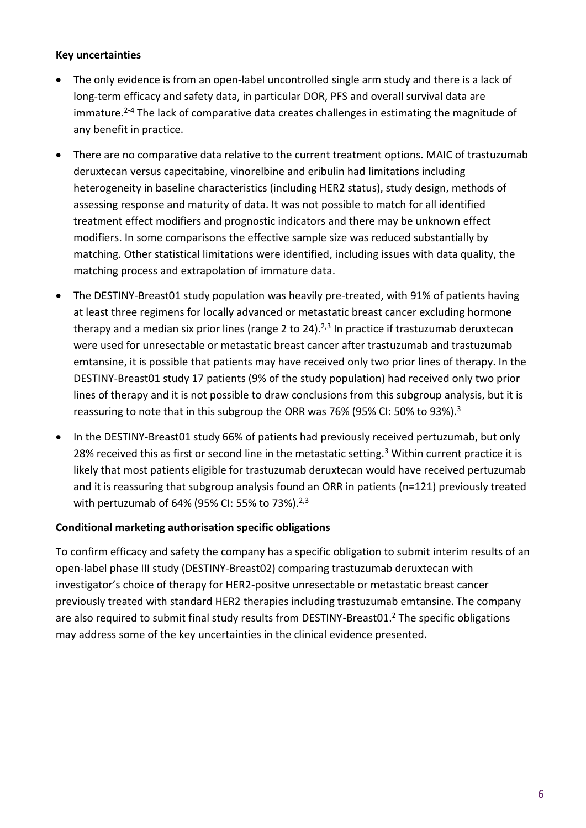#### **Key uncertainties**

- The only evidence is from an open-label uncontrolled single arm study and there is a lack of long-term efficacy and safety data, in particular DOR, PFS and overall survival data are immature.<sup>2-4</sup> The lack of comparative data creates challenges in estimating the magnitude of any benefit in practice.
- There are no comparative data relative to the current treatment options. MAIC of trastuzumab deruxtecan versus capecitabine, vinorelbine and eribulin had limitations including heterogeneity in baseline characteristics (including HER2 status), study design, methods of assessing response and maturity of data. It was not possible to match for all identified treatment effect modifiers and prognostic indicators and there may be unknown effect modifiers. In some comparisons the effective sample size was reduced substantially by matching. Other statistical limitations were identified, including issues with data quality, the matching process and extrapolation of immature data.
- The DESTINY-Breast01 study population was heavily pre-treated, with 91% of patients having at least three regimens for locally advanced or metastatic breast cancer excluding hormone therapy and a median six prior lines (range 2 to 24).<sup>2,3</sup> In practice if trastuzumab deruxtecan were used for unresectable or metastatic breast cancer after trastuzumab and trastuzumab emtansine, it is possible that patients may have received only two prior lines of therapy. In the DESTINY-Breast01 study 17 patients (9% of the study population) had received only two prior lines of therapy and it is not possible to draw conclusions from this subgroup analysis, but it is reassuring to note that in this subgroup the ORR was 76% (95% CI: 50% to 93%).<sup>3</sup>
- In the DESTINY-Breast01 study 66% of patients had previously received pertuzumab, but only 28% received this as first or second line in the metastatic setting.<sup>3</sup> Within current practice it is likely that most patients eligible for trastuzumab deruxtecan would have received pertuzumab and it is reassuring that subgroup analysis found an ORR in patients (n=121) previously treated with pertuzumab of 64% (95% CI: 55% to 73%).<sup>2,3</sup>

#### **Conditional marketing authorisation specific obligations**

To confirm efficacy and safety the company has a specific obligation to submit interim results of an open-label phase III study (DESTINY-Breast02) comparing trastuzumab deruxtecan with investigator's choice of therapy for HER2-positve unresectable or metastatic breast cancer previously treated with standard HER2 therapies including trastuzumab emtansine. The company are also required to submit final study results from DESTINY-Breast01.<sup>2</sup> The specific obligations may address some of the key uncertainties in the clinical evidence presented.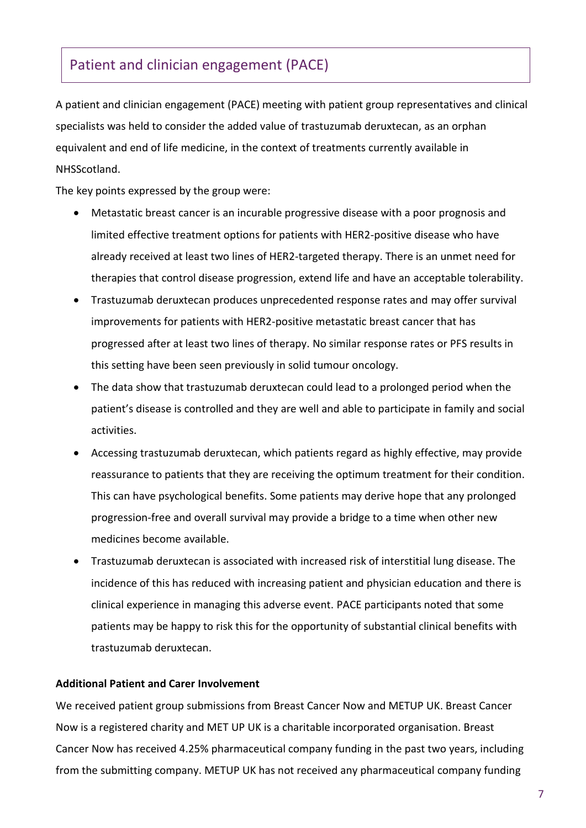### Patient and clinician engagement (PACE)

A patient and clinician engagement (PACE) meeting with patient group representatives and clinical specialists was held to consider the added value of trastuzumab deruxtecan, as an orphan equivalent and end of life medicine, in the context of treatments currently available in NHSScotland.

The key points expressed by the group were:

- Metastatic breast cancer is an incurable progressive disease with a poor prognosis and limited effective treatment options for patients with HER2-positive disease who have already received at least two lines of HER2-targeted therapy. There is an unmet need for therapies that control disease progression, extend life and have an acceptable tolerability.
- Trastuzumab deruxtecan produces unprecedented response rates and may offer survival improvements for patients with HER2-positive metastatic breast cancer that has progressed after at least two lines of therapy. No similar response rates or PFS results in this setting have been seen previously in solid tumour oncology.
- The data show that trastuzumab deruxtecan could lead to a prolonged period when the patient's disease is controlled and they are well and able to participate in family and social activities.
- Accessing trastuzumab deruxtecan, which patients regard as highly effective, may provide reassurance to patients that they are receiving the optimum treatment for their condition. This can have psychological benefits. Some patients may derive hope that any prolonged progression-free and overall survival may provide a bridge to a time when other new medicines become available.
- Trastuzumab deruxtecan is associated with increased risk of interstitial lung disease. The incidence of this has reduced with increasing patient and physician education and there is clinical experience in managing this adverse event. PACE participants noted that some patients may be happy to risk this for the opportunity of substantial clinical benefits with trastuzumab deruxtecan.

#### **Additional Patient and Carer Involvement**

We received patient group submissions from Breast Cancer Now and METUP UK. Breast Cancer Now is a registered charity and MET UP UK is a charitable incorporated organisation. Breast Cancer Now has received 4.25% pharmaceutical company funding in the past two years, including from the submitting company. METUP UK has not received any pharmaceutical company funding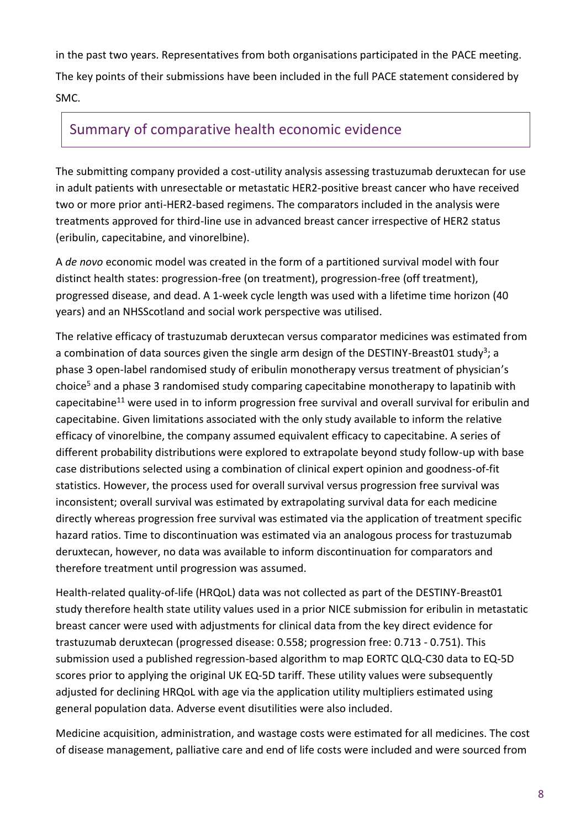in the past two years. Representatives from both organisations participated in the PACE meeting. The key points of their submissions have been included in the full PACE statement considered by SMC.

### Summary of comparative health economic evidence

The submitting company provided a cost-utility analysis assessing trastuzumab deruxtecan for use in adult patients with unresectable or metastatic HER2-positive breast cancer who have received two or more prior anti-HER2-based regimens. The comparators included in the analysis were treatments approved for third-line use in advanced breast cancer irrespective of HER2 status (eribulin, capecitabine, and vinorelbine).

A *de novo* economic model was created in the form of a partitioned survival model with four distinct health states: progression-free (on treatment), progression-free (off treatment), progressed disease, and dead. A 1-week cycle length was used with a lifetime time horizon (40 years) and an NHSScotland and social work perspective was utilised.

The relative efficacy of trastuzumab deruxtecan versus comparator medicines was estimated from a combination of data sources given the single arm design of the DESTINY-Breast01 study<sup>3</sup>; a phase 3 open-label randomised study of eribulin monotherapy versus treatment of physician's choice<sup>5</sup> and a phase 3 randomised study comparing capecitabine monotherapy to lapatinib with capecitabine<sup>11</sup> were used in to inform progression free survival and overall survival for eribulin and capecitabine. Given limitations associated with the only study available to inform the relative efficacy of vinorelbine, the company assumed equivalent efficacy to capecitabine. A series of different probability distributions were explored to extrapolate beyond study follow-up with base case distributions selected using a combination of clinical expert opinion and goodness-of-fit statistics. However, the process used for overall survival versus progression free survival was inconsistent; overall survival was estimated by extrapolating survival data for each medicine directly whereas progression free survival was estimated via the application of treatment specific hazard ratios. Time to discontinuation was estimated via an analogous process for trastuzumab deruxtecan, however, no data was available to inform discontinuation for comparators and therefore treatment until progression was assumed.

Health-related quality-of-life (HRQoL) data was not collected as part of the DESTINY-Breast01 study therefore health state utility values used in a prior NICE submission for eribulin in metastatic breast cancer were used with adjustments for clinical data from the key direct evidence for trastuzumab deruxtecan (progressed disease: 0.558; progression free: 0.713 - 0.751). This submission used a published regression-based algorithm to map EORTC QLQ-C30 data to EQ-5D scores prior to applying the original UK EQ-5D tariff. These utility values were subsequently adjusted for declining HRQoL with age via the application utility multipliers estimated using general population data. Adverse event disutilities were also included.

Medicine acquisition, administration, and wastage costs were estimated for all medicines. The cost of disease management, palliative care and end of life costs were included and were sourced from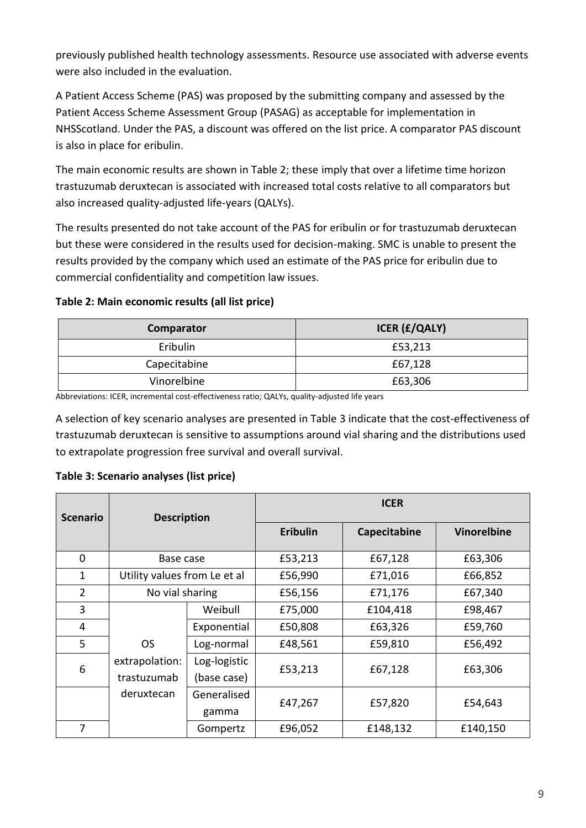previously published health technology assessments. Resource use associated with adverse events were also included in the evaluation.

A Patient Access Scheme (PAS) was proposed by the submitting company and assessed by the Patient Access Scheme Assessment Group (PASAG) as acceptable for implementation in NHSScotland. Under the PAS, a discount was offered on the list price. A comparator PAS discount is also in place for eribulin.

The main economic results are shown in Table 2; these imply that over a lifetime time horizon trastuzumab deruxtecan is associated with increased total costs relative to all comparators but also increased quality-adjusted life-years (QALYs).

The results presented do not take account of the PAS for eribulin or for trastuzumab deruxtecan but these were considered in the results used for decision-making. SMC is unable to present the results provided by the company which used an estimate of the PAS price for eribulin due to commercial confidentiality and competition law issues.

#### **Table 2: Main economic results (all list price)**

| Comparator   | <b>ICER (£/QALY)</b> |  |
|--------------|----------------------|--|
| Eribulin     | £53,213              |  |
| Capecitabine | £67,128              |  |
| Vinorelbine  | £63,306              |  |

Abbreviations: ICER, incremental cost-effectiveness ratio; QALYs, quality-adjusted life years

A selection of key scenario analyses are presented in Table 3 indicate that the cost-effectiveness of trastuzumab deruxtecan is sensitive to assumptions around vial sharing and the distributions used to extrapolate progression free survival and overall survival.

#### **Table 3: Scenario analyses (list price)**

| <b>Scenario</b> | <b>Description</b>            |                             |                 | <b>ICER</b>  |                    |
|-----------------|-------------------------------|-----------------------------|-----------------|--------------|--------------------|
|                 |                               |                             | <b>Eribulin</b> | Capecitabine | <b>Vinorelbine</b> |
| $\mathbf 0$     | Base case                     |                             | £53,213         | £67,128      | £63,306            |
| 1               | Utility values from Le et al  |                             | £56,990         | £71,016      | £66,852            |
| $\overline{2}$  | No vial sharing               |                             | £56,156         | £71,176      | £67,340            |
| 3               |                               | Weibull                     | £75,000         | £104,418     | £98,467            |
| 4               |                               | Exponential                 | £50,808         | £63,326      | £59,760            |
| 5               | <b>OS</b>                     | Log-normal                  | £48,561         | £59,810      | £56,492            |
| 6               | extrapolation:<br>trastuzumab | Log-logistic<br>(base case) | £53,213         | £67,128      | £63,306            |
|                 | deruxtecan                    | Generalised<br>gamma        | £47,267         | £57,820      | £54,643            |
| 7               |                               | Gompertz                    | £96,052         | £148,132     | £140,150           |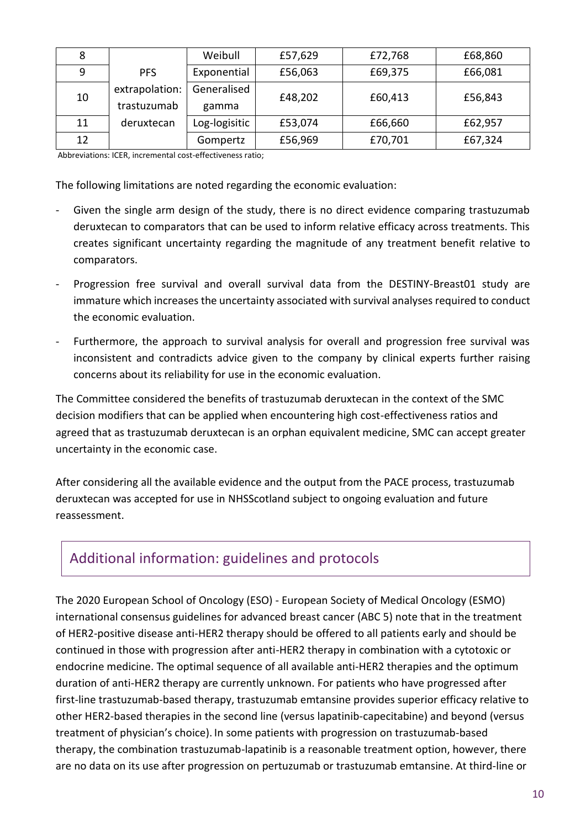|    |                               | Weibull              | £57,629 | £72,768 | £68,860 |
|----|-------------------------------|----------------------|---------|---------|---------|
| 9  | <b>PFS</b>                    | Exponential          | £56,063 | £69,375 | £66,081 |
| 10 | extrapolation:<br>trastuzumab | Generalised<br>gamma | £48,202 | £60,413 | £56,843 |
| 11 | deruxtecan                    | Log-logisitic        | £53,074 | £66,660 | £62,957 |
| 12 |                               | Gompertz             | £56,969 | £70,701 | £67,324 |

Abbreviations: ICER, incremental cost-effectiveness ratio;

The following limitations are noted regarding the economic evaluation:

- Given the single arm design of the study, there is no direct evidence comparing trastuzumab deruxtecan to comparators that can be used to inform relative efficacy across treatments. This creates significant uncertainty regarding the magnitude of any treatment benefit relative to comparators.
- Progression free survival and overall survival data from the DESTINY-Breast01 study are immature which increases the uncertainty associated with survival analyses required to conduct the economic evaluation.
- Furthermore, the approach to survival analysis for overall and progression free survival was inconsistent and contradicts advice given to the company by clinical experts further raising concerns about its reliability for use in the economic evaluation.

The Committee considered the benefits of trastuzumab deruxtecan in the context of the SMC decision modifiers that can be applied when encountering high cost-effectiveness ratios and agreed that as trastuzumab deruxtecan is an orphan equivalent medicine, SMC can accept greater uncertainty in the economic case.

After considering all the available evidence and the output from the PACE process, trastuzumab deruxtecan was accepted for use in NHSScotland subject to ongoing evaluation and future reassessment.

# Additional information: guidelines and protocols

The 2020 European School of Oncology (ESO) - European Society of Medical Oncology (ESMO) international consensus guidelines for advanced breast cancer (ABC 5) note that in the treatment of HER2-positive disease anti-HER2 therapy should be offered to all patients early and should be continued in those with progression after anti-HER2 therapy in combination with a cytotoxic or endocrine medicine. The optimal sequence of all available anti-HER2 therapies and the optimum duration of anti-HER2 therapy are currently unknown. For patients who have progressed after first-line trastuzumab-based therapy, trastuzumab emtansine provides superior efficacy relative to other HER2-based therapies in the second line (versus lapatinib-capecitabine) and beyond (versus treatment of physician's choice). In some patients with progression on trastuzumab-based therapy, the combination trastuzumab-lapatinib is a reasonable treatment option, however, there are no data on its use after progression on pertuzumab or trastuzumab emtansine. At third-line or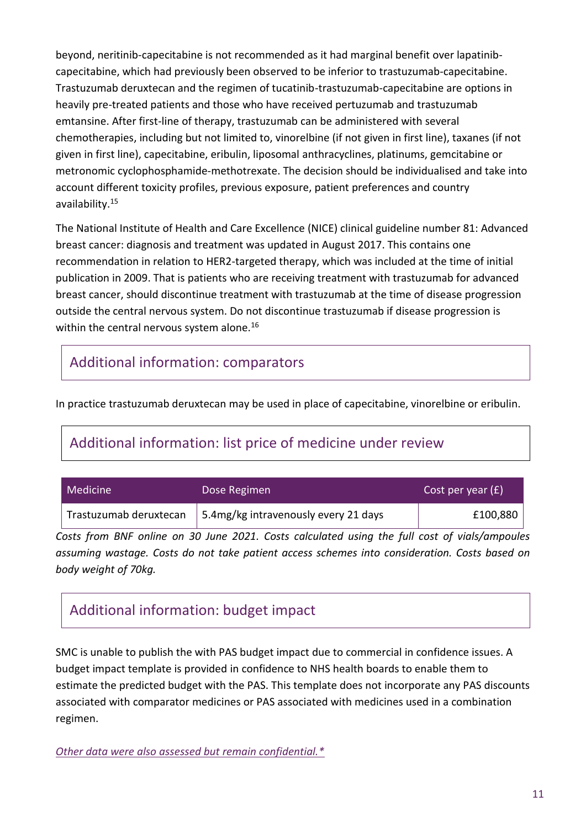beyond, neritinib-capecitabine is not recommended as it had marginal benefit over lapatinibcapecitabine, which had previously been observed to be inferior to trastuzumab-capecitabine. Trastuzumab deruxtecan and the regimen of tucatinib-trastuzumab-capecitabine are options in heavily pre-treated patients and those who have received pertuzumab and trastuzumab emtansine. After first-line of therapy, trastuzumab can be administered with several chemotherapies, including but not limited to, vinorelbine (if not given in first line), taxanes (if not given in first line), capecitabine, eribulin, liposomal anthracyclines, platinums, gemcitabine or metronomic cyclophosphamide-methotrexate. The decision should be individualised and take into account different toxicity profiles, previous exposure, patient preferences and country availability.<sup>15</sup>

The National Institute of Health and Care Excellence (NICE) clinical guideline number 81: Advanced breast cancer: diagnosis and treatment was updated in August 2017. This contains one recommendation in relation to HER2-targeted therapy, which was included at the time of initial publication in 2009. That is patients who are receiving treatment with trastuzumab for advanced breast cancer, should discontinue treatment with trastuzumab at the time of disease progression outside the central nervous system. Do not discontinue trastuzumab if disease progression is within the central nervous system alone.<sup>16</sup>

### Additional information: comparators

In practice trastuzumab deruxtecan may be used in place of capecitabine, vinorelbine or eribulin.

# Additional information: list price of medicine under review

| Medicine <sup>1</sup>  | Dose Regimen                         | Cost per year $(E)$ |  |
|------------------------|--------------------------------------|---------------------|--|
| Trastuzumab deruxtecan | 5.4mg/kg intravenously every 21 days | £100,880            |  |

*Costs from BNF online on 30 June 2021. Costs calculated using the full cost of vials/ampoules assuming wastage. Costs do not take patient access schemes into consideration. Costs based on body weight of 70kg.* 

### Additional information: budget impact

SMC is unable to publish the with PAS budget impact due to commercial in confidence issues. A budget impact template is provided in confidence to NHS health boards to enable them to estimate the predicted budget with the PAS. This template does not incorporate any PAS discounts associated with comparator medicines or PAS associated with medicines used in a combination regimen.

*[Other data were also assessed but remain confidential.\\*](https://www.scottishmedicines.org.uk/media/3572/20180710-release-of-company-data.pdf)*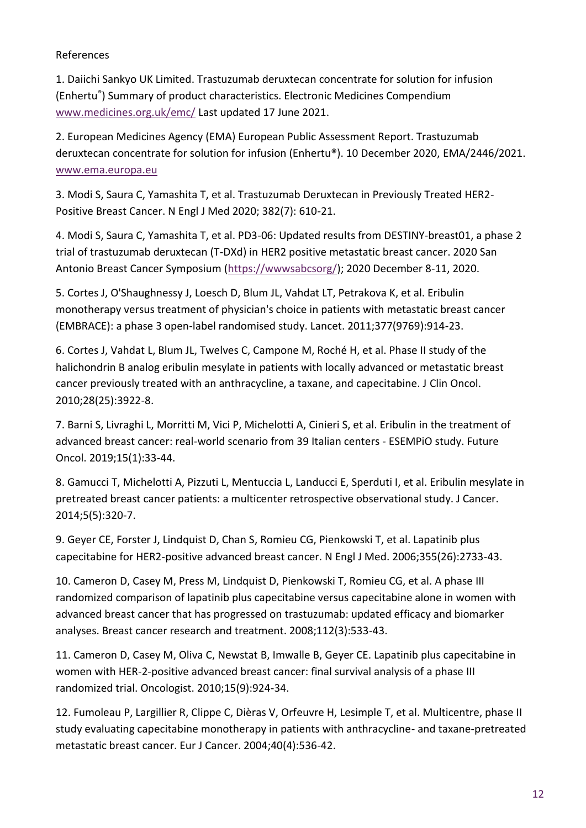#### References

1. [Daiichi Sankyo UK Limited.](https://www.medicines.org.uk/emc/product/12135#companyDetails) Trastuzumab deruxtecan concentrate for solution for infusion (Enhertu® ) Summary of product characteristics. Electronic Medicines Compendium [www.medicines.org.uk/emc/](http://www.medicines.org.uk/emc/) Last updated 17 June 2021.

2. European Medicines Agency (EMA) European Public Assessment Report. Trastuzumab deruxtecan concentrate for solution for infusion (Enhertu®). 10 December 2020, EMA/2446/2021. [www.ema.europa.eu](http://www.ema.europa.eu/)

3. Modi S, Saura C, Yamashita T, et al. Trastuzumab Deruxtecan in Previously Treated HER2- Positive Breast Cancer. N Engl J Med 2020; 382(7): 610-21.

4. Modi S, Saura C, Yamashita T, et al. PD3-06: Updated results from DESTINY-breast01, a phase 2 trial of trastuzumab deruxtecan (T-DXd) in HER2 positive metastatic breast cancer. 2020 San Antonio Breast Cancer Symposium [\(https://wwwsabcsorg/\)](https://wwwsabcsorg/); 2020 December 8-11, 2020.

5. Cortes J, O'Shaughnessy J, Loesch D, Blum JL, Vahdat LT, Petrakova K, et al. Eribulin monotherapy versus treatment of physician's choice in patients with metastatic breast cancer (EMBRACE): a phase 3 open-label randomised study. Lancet. 2011;377(9769):914-23.

6. Cortes J, Vahdat L, Blum JL, Twelves C, Campone M, Roché H, et al. Phase II study of the halichondrin B analog eribulin mesylate in patients with locally advanced or metastatic breast cancer previously treated with an anthracycline, a taxane, and capecitabine. J Clin Oncol. 2010;28(25):3922-8.

7. Barni S, Livraghi L, Morritti M, Vici P, Michelotti A, Cinieri S, et al. Eribulin in the treatment of advanced breast cancer: real-world scenario from 39 Italian centers - ESEMPiO study. Future Oncol. 2019;15(1):33-44.

8. Gamucci T, Michelotti A, Pizzuti L, Mentuccia L, Landucci E, Sperduti I, et al. Eribulin mesylate in pretreated breast cancer patients: a multicenter retrospective observational study. J Cancer. 2014;5(5):320-7.

9. Geyer CE, Forster J, Lindquist D, Chan S, Romieu CG, Pienkowski T, et al. Lapatinib plus capecitabine for HER2-positive advanced breast cancer. N Engl J Med. 2006;355(26):2733-43.

10. Cameron D, Casey M, Press M, Lindquist D, Pienkowski T, Romieu CG, et al. A phase III randomized comparison of lapatinib plus capecitabine versus capecitabine alone in women with advanced breast cancer that has progressed on trastuzumab: updated efficacy and biomarker analyses. Breast cancer research and treatment. 2008;112(3):533-43.

11. Cameron D, Casey M, Oliva C, Newstat B, Imwalle B, Geyer CE. Lapatinib plus capecitabine in women with HER-2-positive advanced breast cancer: final survival analysis of a phase III randomized trial. Oncologist. 2010;15(9):924-34.

12. Fumoleau P, Largillier R, Clippe C, Dièras V, Orfeuvre H, Lesimple T, et al. Multicentre, phase II study evaluating capecitabine monotherapy in patients with anthracycline- and taxane-pretreated metastatic breast cancer. Eur J Cancer. 2004;40(4):536-42.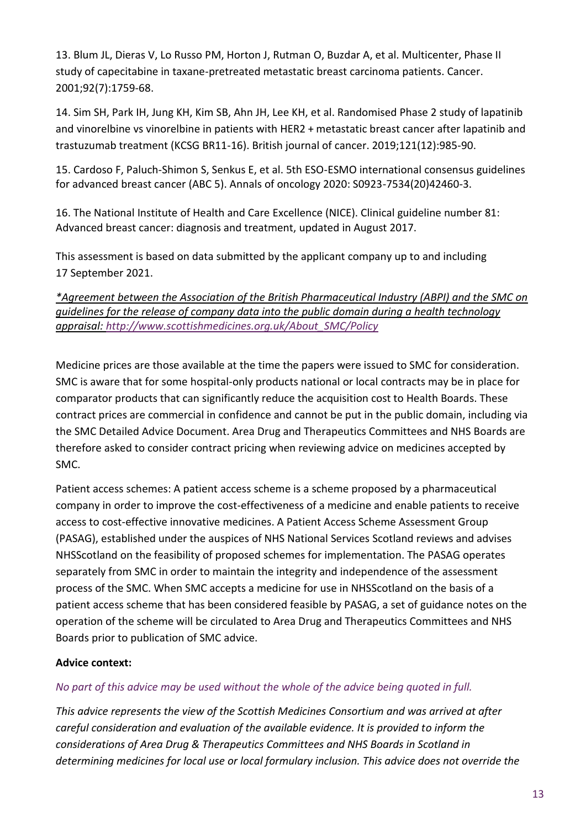13. Blum JL, Dieras V, Lo Russo PM, Horton J, Rutman O, Buzdar A, et al. Multicenter, Phase II study of capecitabine in taxane-pretreated metastatic breast carcinoma patients. Cancer. 2001;92(7):1759-68.

14. Sim SH, Park IH, Jung KH, Kim SB, Ahn JH, Lee KH, et al. Randomised Phase 2 study of lapatinib and vinorelbine vs vinorelbine in patients with HER2 + metastatic breast cancer after lapatinib and trastuzumab treatment (KCSG BR11-16). British journal of cancer. 2019;121(12):985-90.

15. Cardoso F, Paluch-Shimon S, Senkus E, et al. 5th ESO-ESMO international consensus guidelines for advanced breast cancer (ABC 5). Annals of oncology 2020: S0923-7534(20)42460-3.

16. The National Institute of Health and Care Excellence (NICE). Clinical guideline number 81: Advanced breast cancer: diagnosis and treatment, updated in August 2017.

This assessment is based on data submitted by the applicant company up to and including 17 September 2021.

*\*Agreement between the Association of the British Pharmaceutical Industry (ABPI) and the SMC on guidelines for the release of company data into the public domain during a health technology appraisal: [http://www.scottishmedicines.org.uk/About\\_SMC/Policy](http://www.scottishmedicines.org.uk/About_SMC/Policy)*

Medicine prices are those available at the time the papers were issued to SMC for consideration. SMC is aware that for some hospital-only products national or local contracts may be in place for comparator products that can significantly reduce the acquisition cost to Health Boards. These contract prices are commercial in confidence and cannot be put in the public domain, including via the SMC Detailed Advice Document. Area Drug and Therapeutics Committees and NHS Boards are therefore asked to consider contract pricing when reviewing advice on medicines accepted by SMC.

Patient access schemes: A patient access scheme is a scheme proposed by a pharmaceutical company in order to improve the cost-effectiveness of a medicine and enable patients to receive access to cost-effective innovative medicines. A Patient Access Scheme Assessment Group (PASAG), established under the auspices of NHS National Services Scotland reviews and advises NHSScotland on the feasibility of proposed schemes for implementation. The PASAG operates separately from SMC in order to maintain the integrity and independence of the assessment process of the SMC. When SMC accepts a medicine for use in NHSScotland on the basis of a patient access scheme that has been considered feasible by PASAG, a set of guidance notes on the operation of the scheme will be circulated to Area Drug and Therapeutics Committees and NHS Boards prior to publication of SMC advice.

### **Advice context:**

### *No part of this advice may be used without the whole of the advice being quoted in full.*

*This advice represents the view of the Scottish Medicines Consortium and was arrived at after careful consideration and evaluation of the available evidence. It is provided to inform the considerations of Area Drug & Therapeutics Committees and NHS Boards in Scotland in determining medicines for local use or local formulary inclusion. This advice does not override the*